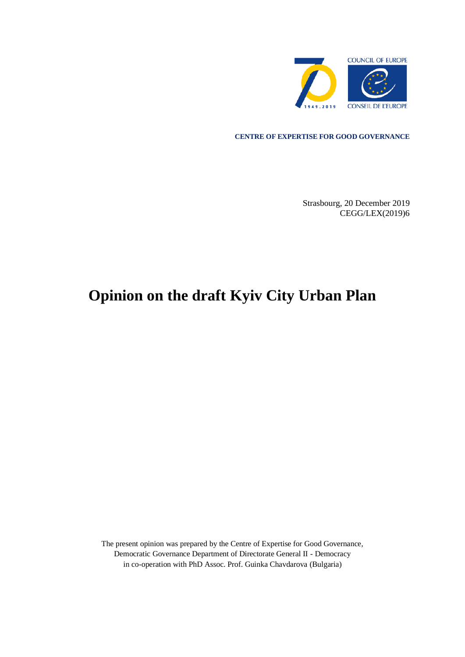

#### **CENTRE OF EXPERTISE FOR GOOD GOVERNANCE**

Strasbourg, 20 December 2019 CEGG/LEX(2019)6

# **Opinion on the draft Kyiv City Urban Plan**

The present opinion was prepared by the Centre of Expertise for Good Governance, Democratic Governance Department of Directorate General II - Democracy in co-operation with PhD Assoc. Prof. Guinka Chavdarova (Bulgaria)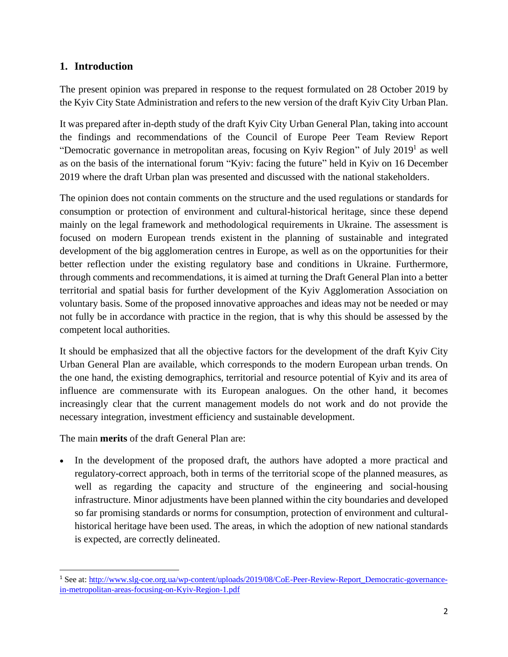## **1. Introduction**

The present opinion was prepared in response to the request formulated on 28 October 2019 by the Kyiv City State Administration and refers to the new version of the draft Kyiv City Urban Plan.

It was prepared after in-depth study of the draft Kyiv City Urban General Plan, taking into account the findings and recommendations of the Council of Europe Peer Team Review Report "Democratic governance in metropolitan areas, focusing on Kyiv Region" of July  $2019<sup>1</sup>$  as well as on the basis of the international forum "Kyiv: facing the future" held in Kyiv on 16 December 2019 where the draft Urban plan was presented and discussed with the national stakeholders.

The opinion does not contain comments on the structure and the used regulations or standards for consumption or protection of environment and cultural-historical heritage, since these depend mainly on the legal framework and methodological requirements in Ukraine. The assessment is focused on modern European trends existent in the planning of sustainable and integrated development of the big agglomeration centres in Europe, as well as on the opportunities for their better reflection under the existing regulatory base and conditions in Ukraine. Furthermore, through comments and recommendations, it is aimed at turning the Draft General Plan into a better territorial and spatial basis for further development of the Kyiv Agglomeration Association on voluntary basis. Some of the proposed innovative approaches and ideas may not be needed or may not fully be in accordance with practice in the region, that is why this should be assessed by the competent local authorities.

It should be emphasized that all the objective factors for the development of the draft Kyiv City Urban General Plan are available, which corresponds to the modern European urban trends. On the one hand, the existing demographics, territorial and resource potential of Kyiv and its area of influence are commensurate with its European analogues. On the other hand, it becomes increasingly clear that the current management models do not work and do not provide the necessary integration, investment efficiency and sustainable development.

The main **merits** of the draft General Plan are:

In the development of the proposed draft, the authors have adopted a more practical and regulatory-correct approach, both in terms of the territorial scope of the planned measures, as well as regarding the capacity and structure of the engineering and social-housing infrastructure. Minor adjustments have been planned within the city boundaries and developed so far promising standards or norms for consumption, protection of environment and culturalhistorical heritage have been used. The areas, in which the adoption of new national standards is expected, are correctly delineated.

<sup>&</sup>lt;sup>1</sup> See at: [http://www.slg-coe.org.ua/wp-content/uploads/2019/08/CoE-Peer-Review-Report\\_Democratic-governance](http://www.slg-coe.org.ua/wp-content/uploads/2019/08/CoE-Peer-Review-Report_Democratic-governance-in-metropolitan-areas-focusing-on-Kyiv-Region-1.pdf)[in-metropolitan-areas-focusing-on-Kyiv-Region-1.pdf](http://www.slg-coe.org.ua/wp-content/uploads/2019/08/CoE-Peer-Review-Report_Democratic-governance-in-metropolitan-areas-focusing-on-Kyiv-Region-1.pdf)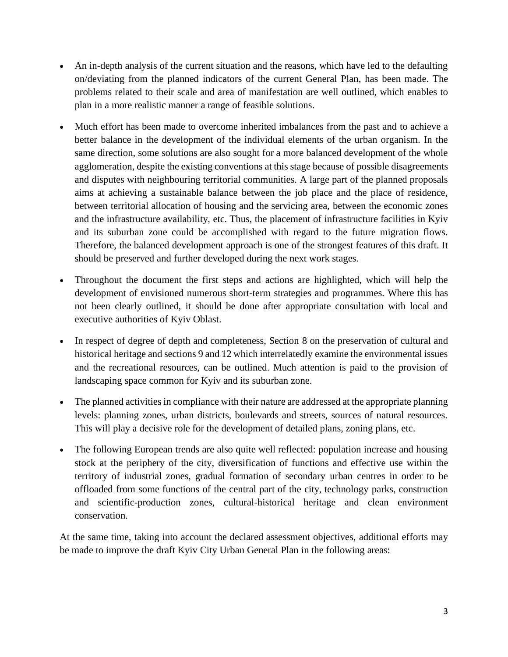- An in-depth analysis of the current situation and the reasons, which have led to the defaulting on/deviating from the planned indicators of the current General Plan, has been made. The problems related to their scale and area of manifestation are well outlined, which enables to plan in a more realistic manner a range of feasible solutions.
- Much effort has been made to overcome inherited imbalances from the past and to achieve a better balance in the development of the individual elements of the urban organism. In the same direction, some solutions are also sought for a more balanced development of the whole agglomeration, despite the existing conventions at this stage because of possible disagreements and disputes with neighbouring territorial communities. A large part of the planned proposals aims at achieving a sustainable balance between the job place and the place of residence, between territorial allocation of housing and the servicing area, between the economic zones and the infrastructure availability, etc. Thus, the placement of infrastructure facilities in Kyiv and its suburban zone could be accomplished with regard to the future migration flows. Therefore, the balanced development approach is one of the strongest features of this draft. It should be preserved and further developed during the next work stages.
- Throughout the document the first steps and actions are highlighted, which will help the development of envisioned numerous short-term strategies and programmes. Where this has not been clearly outlined, it should be done after appropriate consultation with local and executive authorities of Kyiv Oblast.
- In respect of degree of depth and completeness, Section 8 on the preservation of cultural and historical heritage and sections 9 and 12 which interrelatedly examine the environmental issues and the recreational resources, can be outlined. Much attention is paid to the provision of landscaping space common for Kyiv and its suburban zone.
- The planned activities in compliance with their nature are addressed at the appropriate planning levels: planning zones, urban districts, boulevards and streets, sources of natural resources. This will play a decisive role for the development of detailed plans, zoning plans, etc.
- The following European trends are also quite well reflected: population increase and housing stock at the periphery of the city, diversification of functions and effective use within the territory of industrial zones, gradual formation of secondary urban centres in order to be offloaded from some functions of the central part of the city, technology parks, construction and scientific-production zones, cultural-historical heritage and clean environment conservation.

At the same time, taking into account the declared assessment objectives, additional efforts may be made to improve the draft Kyiv City Urban General Plan in the following areas: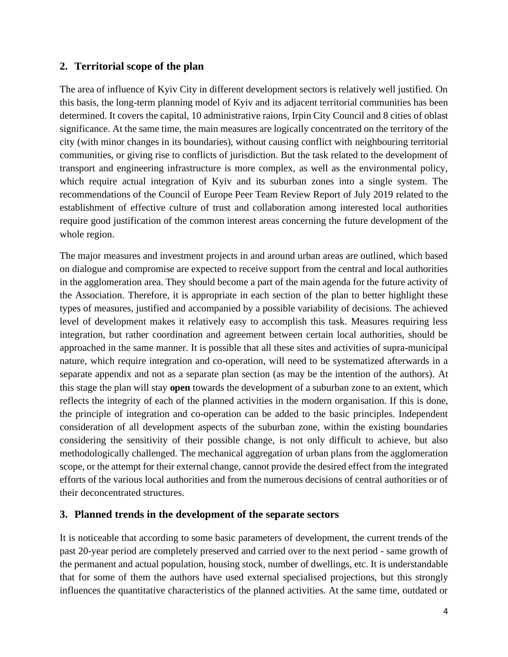## **2. Territorial scope of the plan**

The area of influence of Kyiv City in different development sectors is relatively well justified. On this basis, the long-term planning model of Kyiv and its adjacent territorial communities has been determined. It covers the capital, 10 administrative raions, Irpin City Council and 8 cities of oblast significance. At the same time, the main measures are logically concentrated on the territory of the city (with minor changes in its boundaries), without causing conflict with neighbouring territorial communities, or giving rise to conflicts of jurisdiction. But the task related to the development of transport and engineering infrastructure is more complex, as well as the environmental policy, which require actual integration of Kyiv and its suburban zones into a single system. The recommendations of the Council of Europe Peer Team Review Report of July 2019 related to the establishment of effective culture of trust and collaboration among interested local authorities require good justification of the common interest areas concerning the future development of the whole region.

The major measures and investment projects in and around urban areas are outlined, which based on dialogue and compromise are expected to receive support from the central and local authorities in the agglomeration area. They should become a part of the main agenda for the future activity of the Association. Therefore, it is appropriate in each section of the plan to better highlight these types of measures, justified and accompanied by a possible variability of decisions. The achieved level of development makes it relatively easy to accomplish this task. Measures requiring less integration, but rather coordination and agreement between certain local authorities, should be approached in the same manner. It is possible that all these sites and activities of supra-municipal nature, which require integration and co-operation, will need to be systematized afterwards in a separate appendix and not as a separate plan section (as may be the intention of the authors). At this stage the plan will stay **open** towards the development of a suburban zone to an extent, which reflects the integrity of each of the planned activities in the modern organisation. If this is done, the principle of integration and co-operation can be added to the basic principles. Independent consideration of all development aspects of the suburban zone, within the existing boundaries considering the sensitivity of their possible change, is not only difficult to achieve, but also methodologically challenged. The mechanical aggregation of urban plans from the agglomeration scope, or the attempt for their external change, cannot provide the desired effect from the integrated efforts of the various local authorities and from the numerous decisions of central authorities or of their deconcentrated structures.

### **3. Planned trends in the development of the separate sectors**

It is noticeable that according to some basic parameters of development, the current trends of the past 20-year period are completely preserved and carried over to the next period - same growth of the permanent and actual population, housing stock, number of dwellings, etc. It is understandable that for some of them the authors have used external specialised projections, but this strongly influences the quantitative characteristics of the planned activities. At the same time, outdated or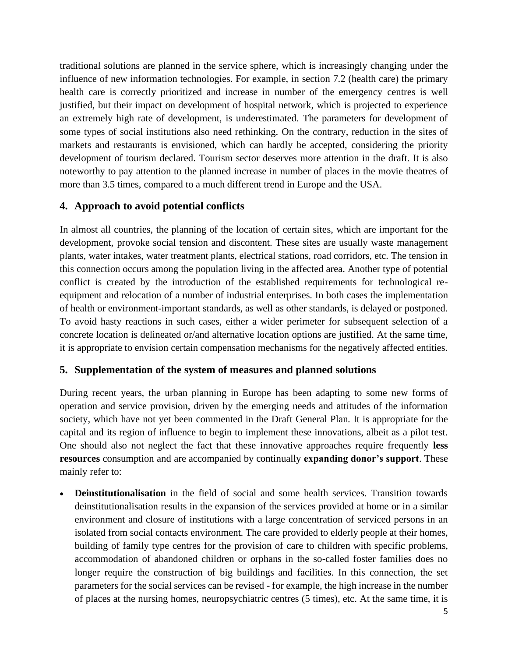traditional solutions are planned in the service sphere, which is increasingly changing under the influence of new information technologies. For example, in section 7.2 (health care) the primary health care is correctly prioritized and increase in number of the emergency centres is well justified, but their impact on development of hospital network, which is projected to experience an extremely high rate of development, is underestimated. The parameters for development of some types of social institutions also need rethinking. On the contrary, reduction in the sites of markets and restaurants is envisioned, which can hardly be accepted, considering the priority development of tourism declared. Tourism sector deserves more attention in the draft. It is also noteworthy to pay attention to the planned increase in number of places in the movie theatres of more than 3.5 times, compared to a much different trend in Europe and the USA.

## **4. Approach to avoid potential conflicts**

In almost all countries, the planning of the location of certain sites, which are important for the development, provoke social tension and discontent. These sites are usually waste management plants, water intakes, water treatment plants, electrical stations, road corridors, etc. The tension in this connection occurs among the population living in the affected area. Another type of potential conflict is created by the introduction of the established requirements for technological reequipment and relocation of a number of industrial enterprises. In both cases the implementation of health or environment-important standards, as well as other standards, is delayed or postponed. To avoid hasty reactions in such cases, either a wider perimeter for subsequent selection of a concrete location is delineated or/and alternative location options are justified. At the same time, it is appropriate to envision certain compensation mechanisms for the negatively affected entities.

## **5. Supplementation of the system of measures and planned solutions**

During recent years, the urban planning in Europe has been adapting to some new forms of operation and service provision, driven by the emerging needs and attitudes of the information society, which have not yet been commented in the Draft General Plan. It is appropriate for the capital and its region of influence to begin to implement these innovations, albeit as a pilot test. One should also not neglect the fact that these innovative approaches require frequently **less resources** consumption and are accompanied by continually **expanding donor's support**. These mainly refer to:

• **Deinstitutionalisation** in the field of social and some health services. Transition towards deinstitutionalisation results in the expansion of the services provided at home or in a similar environment and closure of institutions with a large concentration of serviced persons in an isolated from social contacts environment. The care provided to elderly people at their homes, building of family type centres for the provision of care to children with specific problems, accommodation of abandoned children or orphans in the so-called foster families does no longer require the construction of big buildings and facilities. In this connection, the set parameters for the social services can be revised - for example, the high increase in the number of places at the nursing homes, neuropsychiatric centres (5 times), etc. At the same time, it is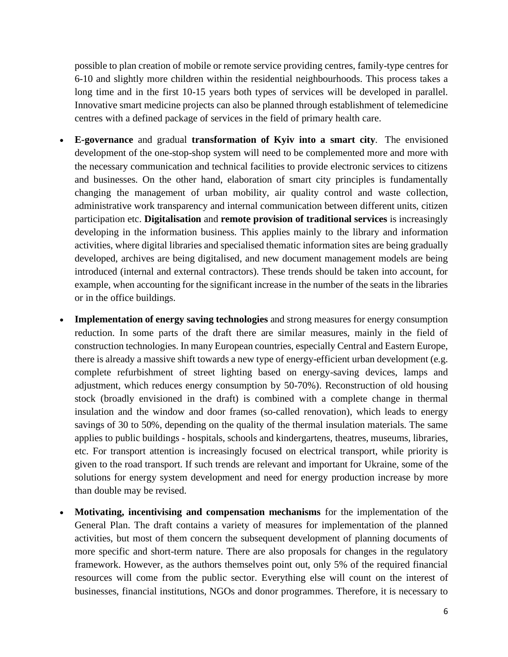possible to plan creation of mobile or remote service providing centres, family-type centres for 6-10 and slightly more children within the residential neighbourhoods. This process takes a long time and in the first 10-15 years both types of services will be developed in parallel. Innovative smart medicine projects can also be planned through establishment of telemedicine centres with a defined package of services in the field of primary health care.

- **E-governance** and gradual **transformation of Kyiv into a smart city**. The envisioned development of the one-stop-shop system will need to be complemented more and more with the necessary communication and technical facilities to provide electronic services to citizens and businesses. On the other hand, elaboration of smart city principles is fundamentally changing the management of urban mobility, air quality control and waste collection, administrative work transparency and internal communication between different units, citizen participation etc. **Digitalisation** and **remote provision of traditional services** is increasingly developing in the information business. This applies mainly to the library and information activities, where digital libraries and specialised thematic information sites are being gradually developed, archives are being digitalised, and new document management models are being introduced (internal and external contractors). These trends should be taken into account, for example, when accounting for the significant increase in the number of the seats in the libraries or in the office buildings.
- **Implementation of energy saving technologies** and strong measures for energy consumption reduction. In some parts of the draft there are similar measures, mainly in the field of construction technologies. In many European countries, especially Central and Eastern Europe, there is already a massive shift towards a new type of energy-efficient urban development (e.g. complete refurbishment of street lighting based on energy-saving devices, lamps and adjustment, which reduces energy consumption by 50-70%). Reconstruction of old housing stock (broadly envisioned in the draft) is combined with a complete change in thermal insulation and the window and door frames (so-called renovation), which leads to energy savings of 30 to 50%, depending on the quality of the thermal insulation materials. The same applies to public buildings - hospitals, schools and kindergartens, theatres, museums, libraries, etc. For transport attention is increasingly focused on electrical transport, while priority is given to the road transport. If such trends are relevant and important for Ukraine, some of the solutions for energy system development and need for energy production increase by more than double may be revised.
- **Motivating, incentivising and compensation mechanisms** for the implementation of the General Plan. The draft contains a variety of measures for implementation of the planned activities, but most of them concern the subsequent development of planning documents of more specific and short-term nature. There are also proposals for changes in the regulatory framework. However, as the authors themselves point out, only 5% of the required financial resources will come from the public sector. Everything else will count on the interest of businesses, financial institutions, NGOs and donor programmes. Therefore, it is necessary to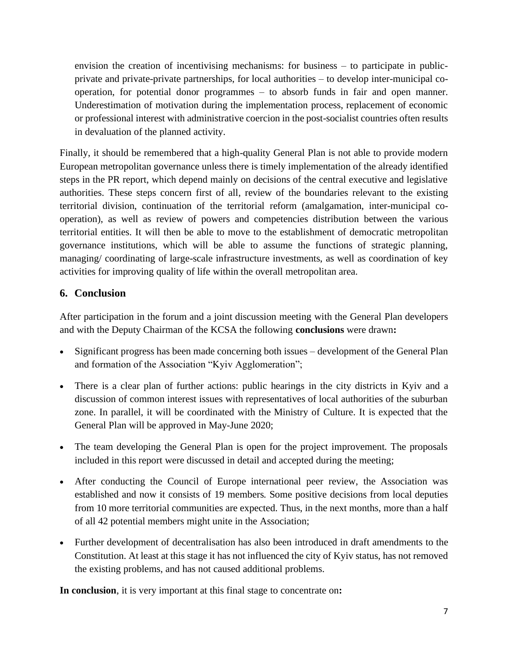envision the creation of incentivising mechanisms: for business – to participate in publicprivate and private-private partnerships, for local authorities – to develop inter-municipal cooperation, for potential donor programmes – to absorb funds in fair and open manner. Underestimation of motivation during the implementation process, replacement of economic or professional interest with administrative coercion in the post-socialist countries often results in devaluation of the planned activity.

Finally, it should be remembered that a high-quality General Plan is not able to provide modern European metropolitan governance unless there is timely implementation of the already identified steps in the PR report, which depend mainly on decisions of the central executive and legislative authorities. These steps concern first of all, review of the boundaries relevant to the existing territorial division, continuation of the territorial reform (amalgamation, inter-municipal cooperation), as well as review of powers and competencies distribution between the various territorial entities. It will then be able to move to the establishment of democratic metropolitan governance institutions, which will be able to assume the functions of strategic planning, managing/ coordinating of large-scale infrastructure investments, as well as coordination of key activities for improving quality of life within the overall metropolitan area.

## **6. Conclusion**

After participation in the forum and a joint discussion meeting with the General Plan developers and with the Deputy Chairman of the KCSA the following **conclusions** were drawn**:**

- Significant progress has been made concerning both issues development of the General Plan and formation of the Association "Kyiv Agglomeration";
- There is a clear plan of further actions: public hearings in the city districts in Kyiv and a discussion of common interest issues with representatives of local authorities of the suburban zone. In parallel, it will be coordinated with the Ministry of Culture. It is expected that the General Plan will be approved in May-June 2020;
- The team developing the General Plan is open for the project improvement. The proposals included in this report were discussed in detail and accepted during the meeting;
- After conducting the Council of Europe international peer review, the Association was established and now it consists of 19 members. Some positive decisions from local deputies from 10 more territorial communities are expected. Thus, in the next months, more than a half of all 42 potential members might unite in the Association;
- Further development of decentralisation has also been introduced in draft amendments to the Constitution. At least at this stage it has not influenced the city of Kyiv status, has not removed the existing problems, and has not caused additional problems.

**In conclusion**, it is very important at this final stage to concentrate on**:**